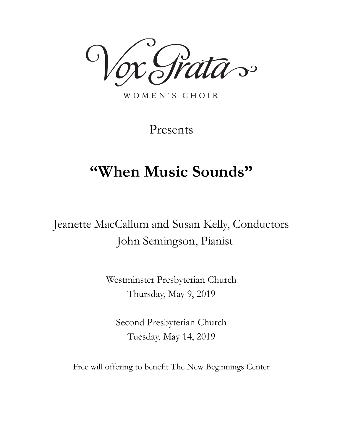,<br>ata-

WOMEN'S CHOIR

Presents

# **"When Music Sounds"**

Jeanette MacCallum and Susan Kelly, Conductors John Semingson, Pianist

> Westminster Presbyterian Church Thursday, May 9, 2019

Second Presbyterian Church Tuesday, May 14, 2019

Free will offering to benefit The New Beginnings Center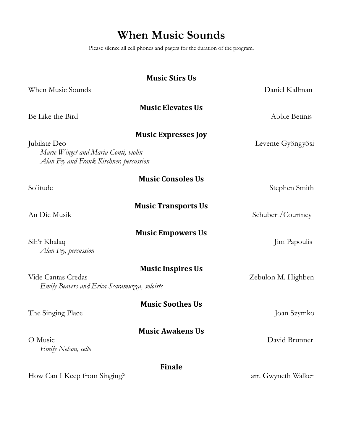## **When Music Sounds**

Please silence all cell phones and pagers for the duration of the program.

| <b>Music Stirs Us</b>                                                                                                         |                     |
|-------------------------------------------------------------------------------------------------------------------------------|---------------------|
| When Music Sounds                                                                                                             | Daniel Kallman      |
| <b>Music Elevates Us</b><br>Be Like the Bird                                                                                  | Abbie Betinis       |
| <b>Music Expresses Joy</b><br>Jubilate Deo<br>Marie Winget and Maria Conti, violin<br>Alan Fey and Frank Kirchner, percussion | Levente Gyöngyösi   |
| <b>Music Consoles Us</b><br>Solitude                                                                                          | Stephen Smith       |
| <b>Music Transports Us</b><br>An Die Musik                                                                                    | Schubert/Courtney   |
| <b>Music Empowers Us</b><br>Sih'r Khalaq<br>Alan Fey, percussion                                                              | Jim Papoulis        |
| <b>Music Inspires Us</b><br>Vide Cantas Credas<br>Emily Beavers and Erica Scaramuzza, soloists                                | Zebulon M. Highben  |
| <b>Music Soothes Us</b><br>The Singing Place                                                                                  | Joan Szymko         |
| <b>Music Awakens Us</b><br>O Music<br>Emily Nelson, cello                                                                     | David Brunner       |
| <b>Finale</b><br>How Can I Keep from Singing?                                                                                 | arr. Gwyneth Walker |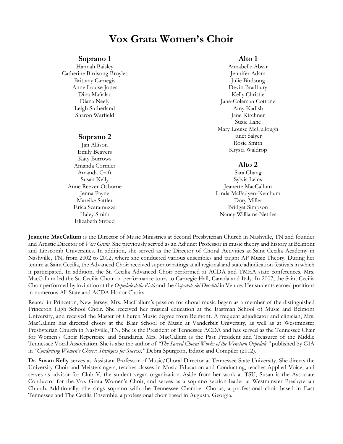## **Vox Grata Women's Choir**

#### **Soprano 1**

Hannah Baisley Catherine Birdsong Broyles Brittany Carnegis Anne Louise Jones Dina Mañalac Diana Neely Leigh Sutherland Sharon Warfield

#### **Soprano 2**

Jan Allison Emily Beavers Katy Burrows Amanda Cormier Amanda Craft Susan Kelly Anne Reever-Osborne Jenna Payne Mareike Sattler Erica Scaramuzza Haley Smith Elizabeth Stroud

### **Alto 1**

Annabelle Absar Jennifer Adam Julie Birdsong Devin Bradbury Kelly Christie Jane-Coleman Cottone Amy Kadish Jane Kirchner Suzie Lane Mary Louise McCullough Janet Salyer Rosie Smith Krysta Waldrop

#### **Alto 2**

Sara Chang Sylvia Leins Jeanette MacCallum Linda McFadyen-Ketchum Dory Miller Bridget Simpson Nancy Williams-Nettles

**Jeanette MacCallum** is the Director of Music Ministries at Second Presbyterian Church in Nashville, TN and founder and Artistic Director of *Vox Grata.* She previously served as an Adjunct Professor in music theory and history at Belmont and Lipscomb Universities. In addition, she served as the Director of Choral Activities at Saint Cecilia Academy in Nashville, TN, from 2002 to 2012, where she conducted various ensembles and taught AP Music Theory. During her tenure at Saint Cecilia, the Advanced Choir received superior ratings at all regional and state adjudication festivals in which it participated. In addition, the St. Cecilia Advanced Choir performed at ACDA and TMEA state conferences. Mrs. MacCallum led the St. Cecilia Choir on performance tours to Carnegie Hall, Canada and Italy. In 2007, the Saint Cecilia Choir performed by invitation at the *Ospedale della Pietà* and the *Ospedale dei Derelitti* in Venice. Her students earned positions in numerous All-State and ACDA Honor Choirs.

Reared in Princeton, New Jersey, Mrs. MacCallum's passion for choral music began as a member of the distinguished Princeton High School Choir. She received her musical education at the Eastman School of Music and Belmont University, and received the Master of Church Music degree from Belmont. A frequent adjudicator and clinician, Mrs. MacCallum has directed choirs at the Blair School of Music at Vanderbilt University, as well as at Westminster Presbyterian Church in Nashville, TN. She is the President of Tennessee ACDA and has served as the Tennessee Chair for Women's Choir Repertoire and Standards. Mrs. MacCallum is the Past President and Treasurer of the Middle Tennessee Vocal Association. She is also the author of *"The Sacred Choral Works of the Venetian Ospedali,"* published by GIA in *"Conducting Women's Choirs: Strategies for Success,"* Debra Spurgeon, Editor and Compiler (2012).

**Dr. Susan Kelly** serves as Assistant Professor of Music/Choral Director at Tennessee State University. She directs the University Choir and Meistersingers, teaches classes in Music Education and Conducting, teaches Applied Voice, and serves as advisor for Club V, the student vegan organization. Aside from her work at TSU, Susan is the Associate Conductor for the Vox Grata Women's Choir, and serves as a soprano section leader at Westminster Presbyterian Church. Additionally, she sings soprano with the Tennessee Chamber Chorus, a professional choir based in East Tennessee and The Cecilia Ensemble, a professional choir based in Augusta, Georgia.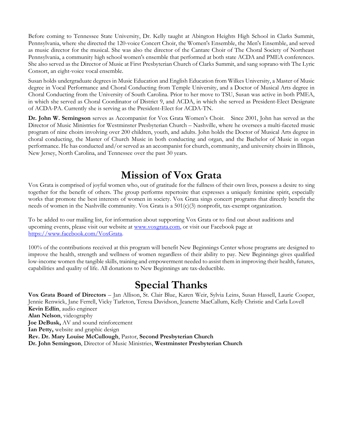Before coming to Tennessee State University, Dr. Kelly taught at Abington Heights High School in Clarks Summit, Pennsylvania, where she directed the 120-voice Concert Choir, the Women's Ensemble, the Men's Ensemble, and served as music director for the musical. She was also the director of the Cantare Choir of The Choral Society of Northeast Pennsylvania, a community high school women's ensemble that performed at both state ACDA and PMEA conferences. She also served as the Director of Music at First Presbyterian Church of Clarks Summit, and sang soprano with The Lyric Consort, an eight-voice vocal ensemble.

Susan holds undergraduate degrees in Music Education and English Education from Wilkes University, a Master of Music degree in Vocal Performance and Choral Conducting from Temple University, and a Doctor of Musical Arts degree in Choral Conducting from the University of South Carolina. Prior to her move to TSU, Susan was active in both PMEA, in which she served as Choral Coordinator of District 9, and ACDA, in which she served as President-Elect Designate of ACDA-PA. Currently she is serving as the President-Elect for ACDA-TN.

**Dr. John W. Semingson** serves as Accompanist for Vox Grata Women's Choir. Since 2001, John has served as the Director of Music Ministries for Westminster Presbyterian Church – Nashville, where he oversees a multi-faceted music program of nine choirs involving over 200 children, youth, and adults. John holds the Doctor of Musical Arts degree in choral conducting, the Master of Church Music in both conducting and organ, and the Bachelor of Music in organ performance. He has conducted and/or served as an accompanist for church, community, and university choirs in Illinois, New Jersey, North Carolina, and Tennessee over the past 30 years.

## **Mission of Vox Grata**

Vox Grata is comprised of joyful women who, out of gratitude for the fullness of their own lives, possess a desire to sing together for the benefit of others. The group performs repertoire that expresses a uniquely feminine spirit, especially works that promote the best interests of women in society. Vox Grata sings concert programs that directly benefit the needs of women in the Nashville community. Vox Grata is a 501(c)(3) nonprofit, tax-exempt organization.

To be added to our mailing list, for information about supporting Vox Grata or to find out about auditions and upcoming events, please visit our website at [www.voxgrata.com,](http://www.voxgrata.com/) or visit our Facebook page at [https://www.facebook.com/VoxGrata.](https://www.facebook.com/VoxGrata)

100% of the contributions received at this program will benefit New Beginnings Center whose programs are designed to improve the health, strength and wellness of women regardless of their ability to pay. New Beginnings gives qualified low-income women the tangible skills, training and empowerment needed to assist them in improving their health, futures, capabilities and quality of life. All donations to New Beginnings are tax-deductible.

## **Special Thanks**

**Vox Grata Board of Directors** – Jan Allison, St. Clair Blue, Karen Weir, Sylvia Leins, Susan Hassell, Laurie Cooper, Jennie Renwick, Jane Ferrell, Vicky Tarleton, Teresa Davidson, Jeanette MacCallum, Kelly Christie and Carla Lovell **Kevin Edlin**, audio engineer **Alan Nelson**, videography **Joe DeBusk,** AV and sound reinforcement **Ian Petty,** website and graphic design **Rev. Dr. Mary Louise McCullough**, Pastor, **Second Presbyterian Church Dr. John Semingson**, Director of Music Ministries, **Westminster Presbyterian Church**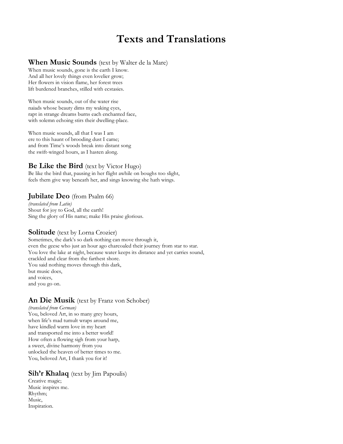## **Texts and Translations**

#### **When Music Sounds** (text by Walter de la Mare)

When music sounds, gone is the earth I know. And all her lovely things even lovelier grow; Her flowers in vision flame, her forest trees lift burdened branches, stilled with ecstasies.

When music sounds, out of the water rise naiads whose beauty dims my waking eyes, rapt in strange dreams burns each enchanted face, with solemn echoing stirs their dwelling-place.

When music sounds, all that I was I am ere to this haunt of brooding dust I came; and from Time's woods break into distant song the swift-winged hours, as I hasten along.

#### **Be Like the Bird** (text by Victor Hugo)

Be like the bird that, pausing in her flight awhile on boughs too slight, feels them give way beneath her, and sings knowing she hath wings.

#### **Jubilate Deo** (from Psalm 66)

*(translated from Latin)* Shout for joy to God, all the earth! Sing the glory of His name; make His praise glorious.

#### **Solitude** (text by Lorna Crozier)

Sometimes, the dark's so dark nothing can move through it, even the geese who just an hour ago charcoaled their journey from star to star. You love the lake at night, because water keeps its distance and yet carries sound, crackled and clear from the farthest shore. You said nothing moves through this dark, but music does, and voices, and you go on.

### **An Die Musik** (text by Franz von Schober)

*(translated from German)* You, beloved Art, in so many grey hours, when life's mad tumult wraps around me, have kindled warm love in my heart and transported me into a better world! How often a flowing sigh from your harp, a sweet, divine harmony from you unlocked the heaven of better times to me. You, beloved Art, I thank you for it!

### **Sih'r Khalaq** (text by Jim Papoulis)

Creative magic; Music inspires me. Rhythm; Music, Inspiration.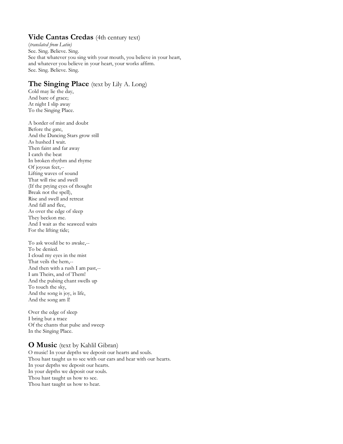### **Vide Cantas Credas** (4th century text)

(*translated from Latin)* See. Sing. Believe. Sing. See that whatever you sing with your mouth, you believe in your heart, and whatever you believe in your heart, your works affirm. See. Sing. Believe. Sing.

### **The Singing Place** (text by Lily A. Long)

Cold may lie the day, And bare of grace; At night I slip away To the Singing Place.

A border of mist and doubt Before the gate, And the Dancing Stars grow still As hushed I wait. Then faint and far away I catch the beat In broken rhythm and rhyme Of joyous feet,-- Lifting waves of sound That will rise and swell (If the prying eyes of thought Break not the spell), Rise and swell and retreat And fall and flee, As over the edge of sleep They beckon me. And I wait as the seaweed waits For the lifting tide;

To ask would be to awake,-- To be denied. I cloud my eyes in the mist That veils the hem,-- And then with a rush I am past,-- I am Theirs, and of Them! And the pulsing chant swells up To touch the sky, And the song is joy, is life, And the song am I!

Over the edge of sleep I bring but a trace Of the chants that pulse and sweep In the Singing Place.

### **O Music** (text by Kahlil Gibran)

O music! In your depths we deposit our hearts and souls. Thou hast taught us to see with our ears and hear with our hearts. In your depths we deposit our hearts. In your depths we deposit our souls. Thou hast taught us how to see. Thou hast taught us how to hear.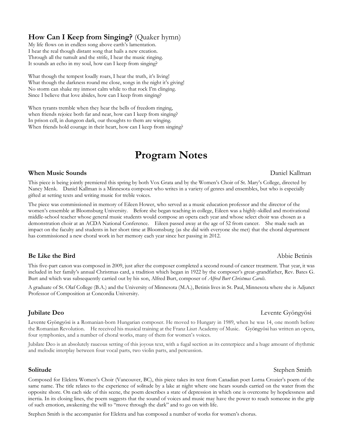### **How Can I Keep from Singing?** (Quaker hymn)

My life flows on in endless song above earth's lamentation. I hear the real though distant song that hails a new creation. Through all the tumult and the strife, I hear the music ringing. It sounds an echo in my soul, how can I keep from singing?

What though the tempest loudly roars, I hear the truth, it's living! What though the darkness round me close, songs in the night it's giving! No storm can shake my inmost calm while to that rock I'm clinging. Since I believe that love abides, how can I keep from singing?

When tyrants tremble when they hear the bells of freedom ringing, when friends rejoice both far and near, how can I keep from singing? In prison cell, in dungeon dark, our thoughts to them are winging. When friends hold courage in their heart, how can I keep from singing?

## **Program Notes**

#### **When Music Sounds** Daniel Kallman

This piece is being jointly premiered this spring by both Vox Grata and by the Women's Choir of St. Mary's College, directed by Nancy Menk. Daniel Kallman is a Minnesota composer who writes in a variety of genres and ensembles, but who is especially gifted at setting texts and writing music for treble voices.

The piece was commissioned in memory of Eileen Hower, who served as a music education professor and the director of the women's ensemble at Bloomsburg University. Before she began teaching in college, Eileen was a highly-skilled and motivational middle-school teacher whose general music students would compose an opera each year and whose select choir was chosen as a demonstration choir at an ACDA National Conference. Eileen passed away at the age of 52 from cancer. She made such an impact on the faculty and students in her short time at Bloomsburg (as she did with everyone she met) that the choral department has commissioned a new choral work in her memory each year since her passing in 2012.

#### **Be Like the Bird**  $\Delta$ Abbie Betinis

This five-part canon was composed in 2009, just after the composer completed a second round of cancer treatment. That year, it was included in her family's annual Christmas card, a tradition which began in 1922 by the composer's great-grandfather, Rev. Bates G. Burt and which was subsequently carried out by his son, Alfred Burt, composer of *Alfred Burt Christmas Carols.*

A graduate of St. Olaf College (B.A.) and the University of Minnesota (M.A.), Betinis lives in St. Paul, Minnesota where she is Adjunct Professor of Composition at Concordia University.

#### **Jubilate Deo** Levente Gyöngyösi

Levente Gyöngyösi is a Romanian-born Hungarian composer. He moved to Hungary in 1989, when he was 14, one month before the Romanian Revolution. He received his musical training at the Franz Liszt Academy of Music. Gyöngyösi has written an opera, four symphonies, and a number of choral works, many of them for women's voices.

Jubilate Deo is an absolutely raucous setting of this joyous text, with a fugal section as its centerpiece and a huge amount of rhythmic and melodic interplay between four vocal parts, two violin parts, and percussion.

#### **Solitude** Stephen Smith

Composed for Elektra Women's Choir (Vancouver, BC), this piece takes its text from Canadian poet Lorna Crozier's poem of the same name. The title relates to the experience of solitude by a lake at night where one hears sounds carried on the water from the opposite shore. On each side of this scene, the poem describes a state of depression in which one is overcome by hopelessness and inertia. In its closing lines, the poem suggests that the sound of voices and music may have the power to reach someone in the grip of such emotion, awakening the will to "move through the dark" and to go on with life.

Stephen Smith is the accompanist for Elektra and has composed a number of works for women's chorus.